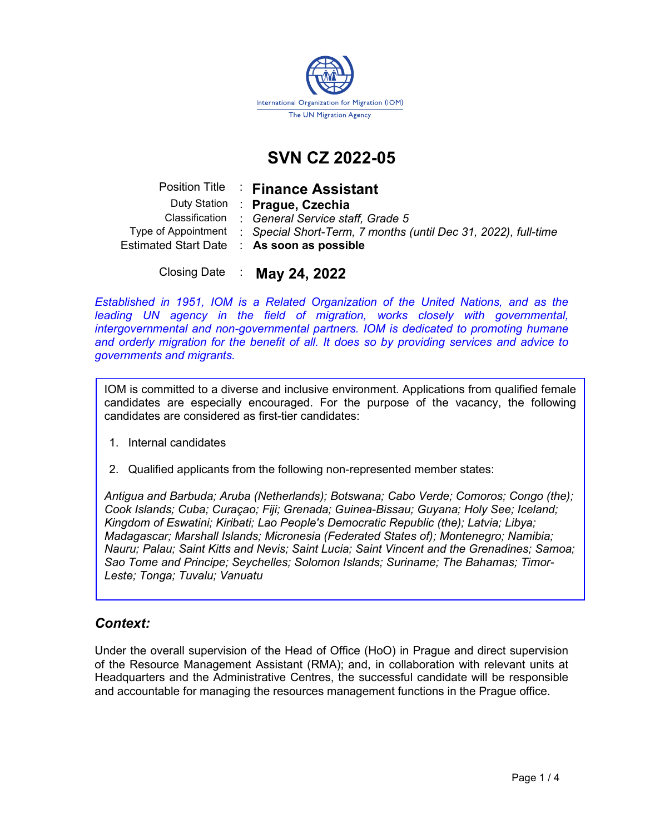

# SVN CZ 2022-05

|  | Position Title : Finance Assistant                                                 |
|--|------------------------------------------------------------------------------------|
|  | Duty Station : Prague, Czechia                                                     |
|  | Classification : General Service staff, Grade 5                                    |
|  | Type of Appointment : Special Short-Term, 7 months (until Dec 31, 2022), full-time |
|  | Estimated Start Date : As soon as possible                                         |
|  |                                                                                    |

Closing Date : May 24, 2022

Established in 1951, IOM is a Related Organization of the United Nations, and as the leading UN agency in the field of migration, works closely with governmental, intergovernmental and non-governmental partners. IOM is dedicated to promoting humane and orderly migration for the benefit of all. It does so by providing services and advice to governments and migrants.

IOM is committed to a diverse and inclusive environment. Applications from qualified female candidates are especially encouraged. For the purpose of the vacancy, the following candidates are considered as first-tier candidates:

- 1. Internal candidates
- 2. Qualified applicants from the following non-represented member states:

Antigua and Barbuda; Aruba (Netherlands); Botswana; Cabo Verde; Comoros; Congo (the); Cook Islands; Cuba; Curaçao; Fiji; Grenada; Guinea-Bissau; Guyana; Holy See; Iceland; Kingdom of Eswatini; Kiribati; Lao People's Democratic Republic (the); Latvia; Libya; Madagascar; Marshall Islands; Micronesia (Federated States of); Montenegro; Namibia; Nauru; Palau; Saint Kitts and Nevis; Saint Lucia; Saint Vincent and the Grenadines; Samoa; Sao Tome and Principe; Seychelles; Solomon Islands; Suriname; The Bahamas; Timor-Leste; Tonga; Tuvalu; Vanuatu

# Context:

Under the overall supervision of the Head of Office (HoO) in Prague and direct supervision of the Resource Management Assistant (RMA); and, in collaboration with relevant units at Headquarters and the Administrative Centres, the successful candidate will be responsible and accountable for managing the resources management functions in the Prague office.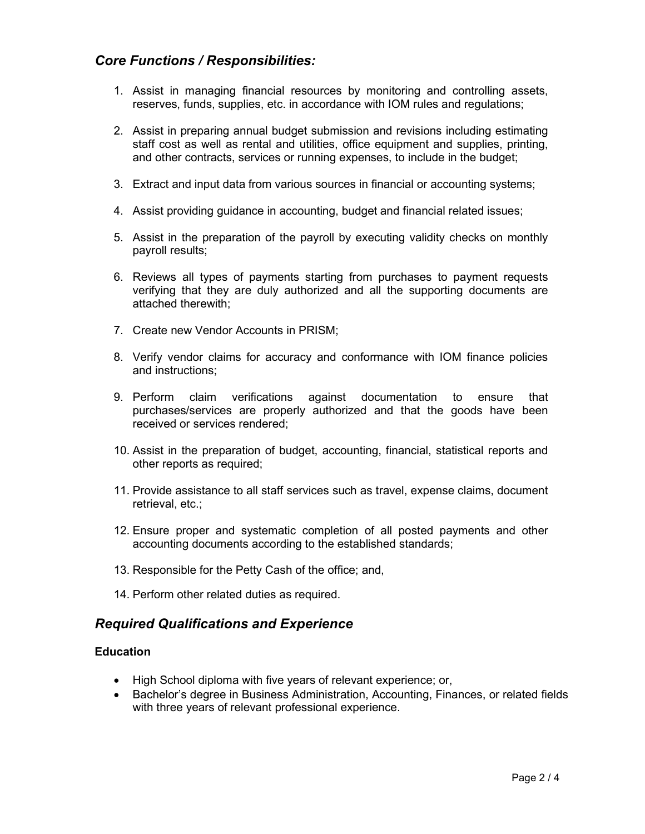## Core Functions / Responsibilities:

- 1. Assist in managing financial resources by monitoring and controlling assets, reserves, funds, supplies, etc. in accordance with IOM rules and regulations;
- 2. Assist in preparing annual budget submission and revisions including estimating staff cost as well as rental and utilities, office equipment and supplies, printing, and other contracts, services or running expenses, to include in the budget;
- 3. Extract and input data from various sources in financial or accounting systems;
- 4. Assist providing guidance in accounting, budget and financial related issues;
- 5. Assist in the preparation of the payroll by executing validity checks on monthly payroll results;
- 6. Reviews all types of payments starting from purchases to payment requests verifying that they are duly authorized and all the supporting documents are attached therewith;
- 7. Create new Vendor Accounts in PRISM;
- 8. Verify vendor claims for accuracy and conformance with IOM finance policies and instructions;
- 9. Perform claim verifications against documentation to ensure that purchases/services are properly authorized and that the goods have been received or services rendered;
- 10. Assist in the preparation of budget, accounting, financial, statistical reports and other reports as required;
- 11. Provide assistance to all staff services such as travel, expense claims, document retrieval, etc.;
- 12. Ensure proper and systematic completion of all posted payments and other accounting documents according to the established standards;
- 13. Responsible for the Petty Cash of the office; and,
- 14. Perform other related duties as required.

## Required Qualifications and Experience

#### **Education**

- High School diploma with five years of relevant experience; or,
- Bachelor's degree in Business Administration, Accounting, Finances, or related fields with three years of relevant professional experience.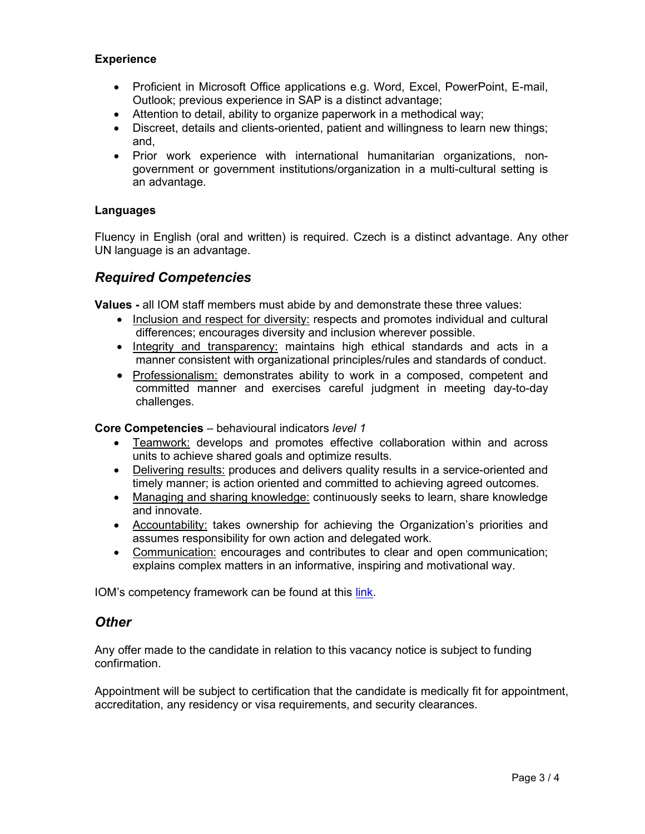#### **Experience**

- Proficient in Microsoft Office applications e.g. Word, Excel, PowerPoint, E-mail, Outlook; previous experience in SAP is a distinct advantage;
- Attention to detail, ability to organize paperwork in a methodical way;
- Discreet, details and clients-oriented, patient and willingness to learn new things; and,
- Prior work experience with international humanitarian organizations, nongovernment or government institutions/organization in a multi-cultural setting is an advantage.

#### Languages

Fluency in English (oral and written) is required. Czech is a distinct advantage. Any other UN language is an advantage.

# Required Competencies

Values - all IOM staff members must abide by and demonstrate these three values:

- Inclusion and respect for diversity: respects and promotes individual and cultural differences; encourages diversity and inclusion wherever possible.
- Integrity and transparency: maintains high ethical standards and acts in a manner consistent with organizational principles/rules and standards of conduct.
- Professionalism: demonstrates ability to work in a composed, competent and committed manner and exercises careful judgment in meeting day-to-day challenges.

#### Core Competencies – behavioural indicators level 1

- Teamwork: develops and promotes effective collaboration within and across units to achieve shared goals and optimize results.
- Delivering results: produces and delivers quality results in a service-oriented and timely manner; is action oriented and committed to achieving agreed outcomes.
- Managing and sharing knowledge: continuously seeks to learn, share knowledge and innovate.
- Accountability: takes ownership for achieving the Organization's priorities and assumes responsibility for own action and delegated work.
- Communication: encourages and contributes to clear and open communication; explains complex matters in an informative, inspiring and motivational way.

IOM's competency framework can be found at this link.

## **Other**

Any offer made to the candidate in relation to this vacancy notice is subject to funding confirmation.

Appointment will be subject to certification that the candidate is medically fit for appointment, accreditation, any residency or visa requirements, and security clearances.